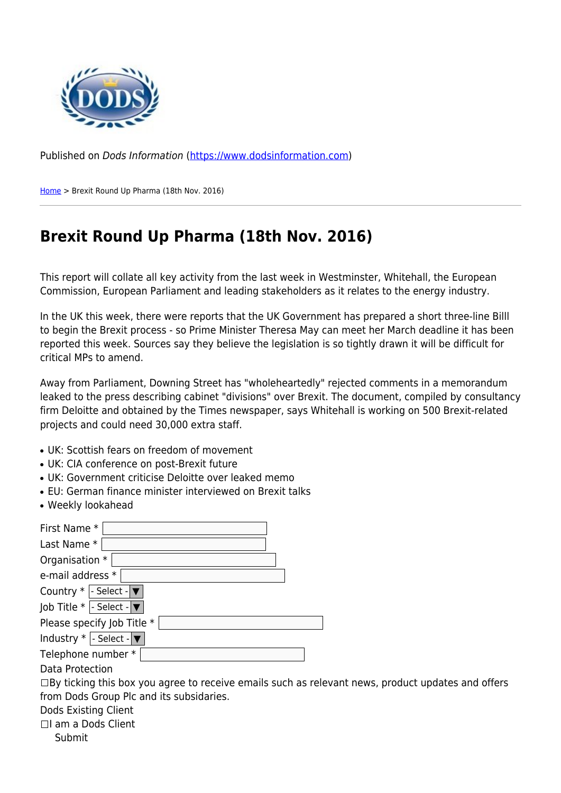

Published on Dods Information ([https://www.dodsinformation.com\)](https://www.dodsinformation.com)

[Home](https://www.dodsinformation.com/) > Brexit Round Up Pharma (18th Nov. 2016)

## **Brexit Round Up Pharma (18th Nov. 2016)**

This report will collate all key activity from the last week in Westminster, Whitehall, the European Commission, European Parliament and leading stakeholders as it relates to the energy industry.

In the UK this week, there were reports that the UK Government has prepared a short three-line Billl to begin the Brexit process - so Prime Minister Theresa May can meet her March deadline it has been reported this week. Sources say they believe the legislation is so tightly drawn it will be difficult for critical MPs to amend.

Away from Parliament, Downing Street has "wholeheartedly" rejected comments in a memorandum leaked to the press describing cabinet "divisions" over Brexit. The document, compiled by consultancy firm Deloitte and obtained by the Times newspaper, says Whitehall is working on 500 Brexit-related projects and could need 30,000 extra staff.

- UK: Scottish fears on freedom of movement
- UK: CIA conference on post-Brexit future
- UK: Government criticise Deloitte over leaked memo
- EU: German finance minister interviewed on Brexit talks
- Weekly lookahead

| First Name *                                                                                             |
|----------------------------------------------------------------------------------------------------------|
| Last Name *                                                                                              |
| Organisation *                                                                                           |
| e-mail address *                                                                                         |
| Country $*$  - Select - $\blacktriangledown$                                                             |
| $ $ ob Title *  - Select - $ $ ▼                                                                         |
| Please specify Job Title *                                                                               |
| Industry $*$   - Select - $\blacktriangledown$                                                           |
| Telephone number *                                                                                       |
| Data Protection                                                                                          |
| $\Box$ By ticking this box you agree to receive emails such as relevant news, product updates and offers |
| from Dods Group Plc and its subsidaries.                                                                 |
| Dods Existing Client                                                                                     |
| □I am a Dods Client                                                                                      |
| Submit                                                                                                   |
|                                                                                                          |
|                                                                                                          |